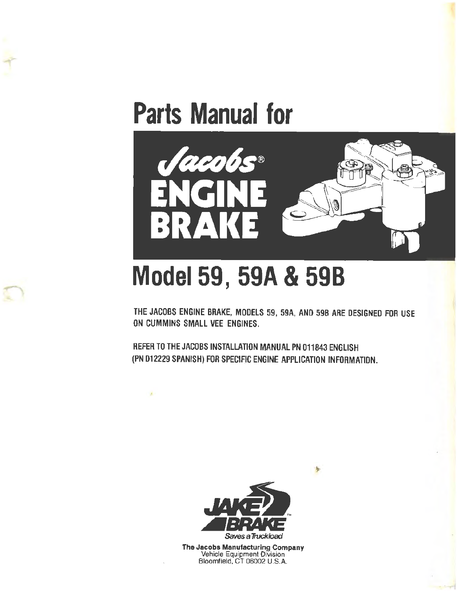



# **Model 59, 59A & 598**

THE JACOBS ENGINE BRAKE, MODELS 59, 59A, AND 59B ARE DESIGNED FOR USE ON CUMMINS SMALL VEE ENGINES.

REFER TO THE JACOBS INSTALLATION MANUAL PN 011843 ENGLISH (PN 012229 SPANISH) FOR SPECIFIC ENGINE APPLICATION INFORMATION.



**The Jacobs Manufacturing Company**  Vehicle Equipment Division Bloomfield, CT 06002 U.S.A.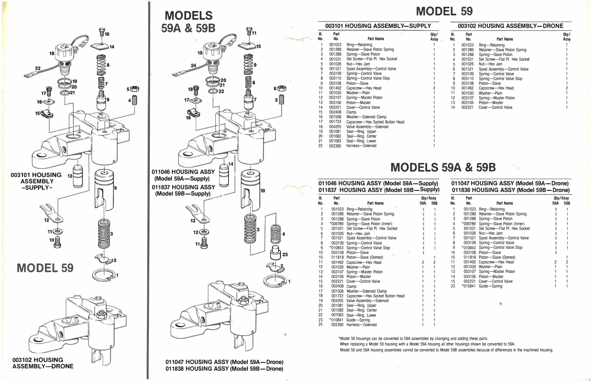

**003102 HOUSING ASSEMBLY-DRONE** 



**011047 HOUSING ASSY (Model 59A-Drone) 011838 HOUSING ASSY (Model 59B-Drone)** 

## **MODEL 59**

### **003101 HOUSING ASSEMBLY-SUPPLY 003102 HOUSING ASSEMBLY-DRONE**

| Ⅲ.  | Part   |                                 | Qty/                   | Ⅲ.  | Part   |                               | Qty/ |
|-----|--------|---------------------------------|------------------------|-----|--------|-------------------------------|------|
| No. | No.    | Part Name                       | Assy <b>Department</b> | No. | No.    | Part Name                     | Assy |
|     | 001023 | Ring-Retaining                  |                        |     | 001023 | Ring-Retaining                |      |
| 2   | 001289 | Retainer-Slave Piston Spring    |                        | 2   | 001289 | Retainer-Slave Piston Spring  |      |
| 3   | 001288 | Spring-Slave Piston             |                        | 3   | 001288 | Spring-Slave Piston           |      |
| 4   | 001031 | Set Screw-Flat Pt. Hex Socket   |                        | 4   | 001031 | Set Screw-Flat Pt. Hex Socket |      |
| 5   | 001026 | Nut-Hex Jam                     |                        | 5   | 001026 | Nut-Hex Jam                   |      |
| 6   | 001521 | Spool Assembly-Control Valve    |                        | 6   | 001521 | Spool Assembly-Control Valve  |      |
|     | 003109 | Spring-Control Valve            |                        |     | 003109 | Spring-Control Valve          |      |
| 8   | 003110 | Spring-Control Valve Stop       |                        | 8   | 003110 | Spring-Control Valve Stop     |      |
| 9   | 003108 | Piston-Slave                    |                        | 9   | 003108 | Piston-Slave                  |      |
| 10  | 001492 | Capscrew-Hex Head               |                        | 10  | 001492 | Capscrew-Hex Head             |      |
| 11  | 001030 | Washer-Plain                    |                        | 11  | 001030 | Washer-Plain                  |      |
| 12  | 003107 | Spring-Master Piston            |                        | 12  | 003107 | Spring-Master Piston          |      |
| 13  | 003106 | Piston-Master                   |                        | 13  | 003106 | Piston-Master                 |      |
| 14  | 002221 | Cover-Control Valve             |                        | 14  | 002221 | Cover-Control Valve           |      |
| 15  | 002408 | Clamp                           |                        |     |        |                               |      |
| 16  | 001508 | Washer-Solenoid Clamp           |                        |     |        |                               |      |
| 17  | 001722 | Capscrew-Hex Socket Button Head |                        |     |        |                               |      |
| 18  | 004205 | Valve Assembly-Solenoid         |                        |     |        |                               |      |
| 19  | 001081 | Seal-Ring. Upper                |                        |     |        |                               |      |
| 20  | 001082 | Seal-Ring. Center               |                        |     |        |                               |      |
| 21  | 001083 | Seal-Ring. Lower                |                        |     |        |                               |      |
| 22  | 002390 | Harness-Solenoid                |                        |     |        |                               |      |

### 011837 HOUSING ASSY (Model 59B-Supply)

## **MODELS 59A & 59B**

## 011046 HOUSING ASSY (Model 59A—Supply) 011047 HOUSING ASSY (Model 59A—Drone)<br>011837 HOUSING ASSY (Model 59B—Supply) 011838 HOUSING ASSY (Model 59B—Drone)

| Ⅲ.<br>Part    |              |                                      | Qty/Assy |     | III. | Part      |                                      | Qty/Assy |     |
|---------------|--------------|--------------------------------------|----------|-----|------|-----------|--------------------------------------|----------|-----|
| No.           | No.          | Part Name                            | 59A      | 59B | No.  | No.       | Part Name                            | 59A      | 59B |
|               | 001023       | Ring-Retaining                       |          |     |      |           | 001023 Ring-Retaining                |          |     |
|               |              | 001289 Retainer-Slave Piston Spring  |          |     |      |           | 001289 Retainer-Slave Piston Spring  |          |     |
|               |              | 001288 Spring-Slave Piston           |          |     |      |           | 001288 Spring-Slave Piston           |          |     |
|               |              | *006789 Spring-Slave Piston (Inner)  |          |     |      |           | *006789 Spring-Slave Piston (Inner)  |          |     |
|               |              | 001031 Set Screw-Flat Pt. Hex Socket |          |     |      |           | 001031 Set Screw-Flat Pt. Hex Socket |          |     |
|               |              | 001026 Nut-Hex Jam                   |          |     |      |           | 001026 Nut-Hex Jam                   |          |     |
|               |              | 001521 Spool Assembly-Control Valve  |          |     |      |           | 001521 Spool Assembly-Control Valve  |          |     |
|               |              | 003109 Spring-Control Valve          |          |     |      |           | 003109 Spring-Control Valve          |          |     |
| 9             |              | *010843 Spring-Control Valve Stop    |          |     |      |           | *010843 Spring-Control Valve Stop    |          |     |
| 10            |              | 003108 Piston-Slave                  |          |     | 10   |           | 003108 Piston-Slave                  |          |     |
| 10            |              | 011818 Piston-Slave (Domed)          |          |     | 10   |           | 011818 Piston-Slave (Domed)          |          |     |
| 11            |              | 001492 Capscrew-Hex Head             |          |     |      |           | 001492 Capscrew-Hex Head             |          |     |
| 12            | 001030       | Washer-Plain                         |          |     | 12   |           | 001030 Washer-Plain                  |          |     |
| 13            |              | 003107 Spring-Master Piston          |          |     | 13   | 003107    | Spring-Master Piston                 |          |     |
| 14            | 003106       | Piston-Master                        |          |     | 14   |           | 003106 Piston-Master                 |          |     |
| 15            |              | 002221 Cover-Control Valve           |          |     | 15   |           | 002221 Cover-Control Valve           |          |     |
| 16            | 002408 Clamp |                                      |          |     | 23   | $*010841$ | Guide-Spring                         |          |     |
| $\rightarrow$ |              |                                      |          |     |      |           |                                      |          |     |

| Ⅲ.  | Part         |                                        |     | Qty/Assy       | III. | Part    |                                      |
|-----|--------------|----------------------------------------|-----|----------------|------|---------|--------------------------------------|
| No. | No.          | Part Name                              | 59A | 59B            | No.  | No.     | Part Name                            |
|     |              | 001023 Ring-Retaining                  |     |                |      | 001023  | Ring-Retaining                       |
| 2   |              | 001289 Retainer-Slave Piston Spring    |     |                | 2    | 001289  | Retainer-Slave Piston Spring         |
| 3   |              | 001288 Spring-Slave Piston             |     |                | 3    |         | 001288 Spring-Slave Piston           |
| 4   |              | *006789 Spring-Slave Piston (Inner)    |     |                | 4    |         | *006789 Spring-Slave Piston (Inner)  |
| 5   |              | 001031 Set Screw-Flat Pt. Hex Socket   |     |                | 5    |         | 001031 Set Screw-Flat Pt. Hex Socket |
| 6   |              | 001026 Nut-Hex Jam                     |     |                | 6    |         | 001026 Nut-Hex Jam                   |
|     | 001521       | Spool Assembly-Control Valve           |     |                |      | 001521  | Spool Assembly-Control Valve         |
| 8   |              | 003109 Spring-Control Valve            |     |                | 8    | 003109  | Spring-Control Valve                 |
| 9   |              | *010843 Spring-Control Valve Stop      |     |                | 9    | *010843 | Spring-Control Valve Stop            |
| 10  |              | 003108 Piston-Slave                    |     |                | 10   |         | 003108 Piston-Slave                  |
| 10  |              | 011818 Piston-Slave (Domed)            |     |                | 10   |         | 011818 Piston-Slave (Domed)          |
| 11  |              | 001492 Capscrew—Hex Head               | 2   | $\overline{c}$ | 11   |         | 001492 Capscrew-Hex Head             |
| 12  |              | 001030 Washer-Plain                    |     |                | 12   |         | 001030 Washer-Plain                  |
| 13  |              | 003107 Spring-Master Piston            |     |                | 13   | 003107  | Spring-Master Piston                 |
| 14  |              | 003106 Piston-Master                   |     |                | 14   |         | 003106 Piston-Master                 |
| 15  | 002221       | Cover-Control Valve                    |     |                | 15   |         | 002221 Cover-Control Valve           |
| 16  | 002408 Clamp |                                        |     |                | 23   | *010841 | Guide-Spring                         |
| 17  | 001508       | Washer-Solenoid Clamp                  |     |                |      |         |                                      |
| 18  |              | 001722 Capscrew-Hex Socket Button Head |     |                |      |         |                                      |
| 19  |              | 004205 Valve Assembly-Solenoid         |     |                |      |         |                                      |
| 20  | 001081       | Seal-Ring. Upper                       |     |                |      |         | 豪                                    |
| 21  |              | 001082 Seal-Ring. Center               |     |                |      |         |                                      |
| 22  | 001083       | Seal-Ring. Lower                       |     |                |      |         |                                      |
| 23  | *010841      | Guide-Spring                           |     |                |      |         |                                      |
| 24  | 002390       | Harness-Solenoid                       |     |                |      |         |                                      |

\*Model 59 housings can be converted to 59A assemblies by changing and adding these parts. When replacing a Model 59 housing with a Model 59A housing all other housings shown be converted to 59A. Model 59 and 59A housing assemblies cannot be converted to Model 59B assemblies because of differences in the machined housing.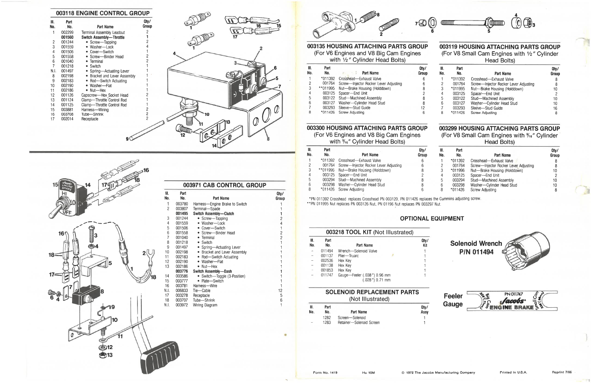| 003118 ENGINE CONTROL GROUP<br>Ш. | Part    |                                 | Qty/                     |
|-----------------------------------|---------|---------------------------------|--------------------------|
| No.                               | $N_0$ . | Part Name                       | <b>Group</b>             |
|                                   | 002299  | Terminal Assembly Leadout       |                          |
|                                   | 001560  | <b>Switch Assembly-Throttle</b> |                          |
| 2                                 | 001244  | • Screw-Tapping                 |                          |
| 3                                 | 001559  | • Washer-Lock                   |                          |
| 4                                 | 001506  | • Cover-Switch                  |                          |
| 5                                 | 001558  | • Screw-Binder Head             |                          |
| 6                                 | 001040  | • Terminal                      |                          |
|                                   | 001218  | • Switch                        |                          |
| N.I.                              | 001497  | • Spring-Actuating Lever        |                          |
| 8                                 | 002198  | • Bracket and Lever Assembly    |                          |
| 9                                 | 002183  | • Rod-Switch Actuating          |                          |
| 10                                | 002190  | • Washer-Flat                   |                          |
| 11                                | 002186  | $\bullet$ Nut-Hex               |                          |
| 12                                | 001126  | Capscrew-Hex Socket Head        |                          |
| 13                                | 001124  | Clamp-Throttle Control Rod      |                          |
| 14                                | 001125  | Clamp-Throttle Control Rod      |                          |
| 15                                | 003881  | Harness-Wiring                  |                          |
| 16                                | 003708  | Tube-Shrink                     | $\overline{\phantom{a}}$ |
| 17                                | 002014  | Receptacle                      |                          |
|                                   |         |                                 |                          |
|                                   |         |                                 |                          |
|                                   |         |                                 |                          |
|                                   |         |                                 |                          |



| II.<br>lo.              | Part<br>No. | Part Name                      | Qty/<br><b>Group</b> |
|-------------------------|-------------|--------------------------------|----------------------|
| 1                       | 003780      | Harness-Engine Brake to Switch |                      |
| $\overline{c}$          | 003807      | Terminal-Spade                 | 1                    |
|                         | 001495      | Switch Assembly-Clutch         | 1                    |
| 3                       | 001244      | • Screw-Tapping                |                      |
| 4                       | 001559      | • Washer-Lock                  |                      |
| 5                       | 001506      | • Cover-Switch                 |                      |
| 6                       | 001558      | • Screw--- Binder Head         |                      |
| $\overline{7}$          | 001040      | • Terminal                     | 2412                 |
| 8                       | 001218      | • Switch                       | $\mathbf{1}$         |
| 9                       | 001497      | • Spring-Actuating Lever       | 1                    |
| $\boldsymbol{0}$        | 002198      | • Bracket and Lever Assembly   |                      |
| $\mathbf{1}$            | 002183      | • Rod-Switch Actuating         |                      |
| $\overline{\mathbf{c}}$ | 002190      | • Washer-Flat                  |                      |
| 3                       | 002186      | $\bullet$ Nut--Hex             |                      |
|                         | 003776      | Switch Assembly-Dash           |                      |
| 4                       | 003586      | • Switch-Toggle (3-Position)   |                      |
| 5                       | 003777      | • Plate-Switch                 |                      |
| 6                       | 003781      | Harness---Wire                 | 1                    |
| П.                      | 006833      | Tie-Cable                      | 12                   |
| $\overline{7}$          | 003278      | Receptacle                     | 5                    |
| $\overline{8}$          | 003707      | Tube-Shrink                    | 6                    |
| IJ.                     | 003972      | Wiring Diagram                 |                      |



#### 003135 HOUSING ATTACHING PARTS GROUP (For V6 Engines and V8 Big Cam Engines with 1/2" Cylinder Head Bolts)

| Part<br>No. | 三条                                                 | Q <sub>ty</sub><br>Group                                                                                                                                                                                                                                 |
|-------------|----------------------------------------------------|----------------------------------------------------------------------------------------------------------------------------------------------------------------------------------------------------------------------------------------------------------|
|             |                                                    | 6                                                                                                                                                                                                                                                        |
|             |                                                    | 6                                                                                                                                                                                                                                                        |
|             |                                                    | 8                                                                                                                                                                                                                                                        |
|             |                                                    | 2                                                                                                                                                                                                                                                        |
|             |                                                    | 8                                                                                                                                                                                                                                                        |
|             |                                                    | 8                                                                                                                                                                                                                                                        |
|             |                                                    | 12                                                                                                                                                                                                                                                       |
|             |                                                    | 6                                                                                                                                                                                                                                                        |
|             | *011392<br>001764<br>**011995<br>003125<br>.003127 | Part Name<br>Crosshead-Exhaust Valve<br>Screw-Injector Rocker Lever Adjusting<br>Nut-Brake Housing (Holddown)<br>Spacer-End Unit<br>003122 Stud-Machined Assembly<br>Washer-Cylinder Head Stud<br>003293<br>Sleeve-Stud Guide<br>*011426 Screw Adjusting |

#### 003300 HOUSING ATTACHING PARTS GROUP

(For V6 Engines and V8 Big Cam Engines with %<sup>6</sup>" Cylinder Head Bolts)

| III.<br>No. | Part<br>No. | Part Name                             | Qty/<br>Group |
|-------------|-------------|---------------------------------------|---------------|
|             | *011392     | Crosshead-Exhaust Valve               | 6             |
| 2           | 001764      | Screw-Injector Rocker Lever Adjusting | 6             |
| 3           | **011996    | Nut-Brake Housing (Holddown)          | 8             |
| 4           | 003125      | Spacer-End Unit                       | 2             |
| 5           | 003294      | Stud-Machined Assembly                | 8             |
| 6           | 003298      | Washer-Cylinder Head Stud             | 8             |
| 8           |             | *011426 Screw Adjusting               | 6             |

\*PN 011392 Crosshead replaces Crosshead PN 003120, PN 011426 replaces the Cummins adjusting screw.<br>\*\*PN 011995 Nut replaces PN 003126 Nut, PN 01196 Nut replaces PN 003297 Nut.

### **OPTIONAL EQUIPMENT**

| 003218 TOOL KIT (Not Illustrated) |             |                                                 |             |  |  |  |
|-----------------------------------|-------------|-------------------------------------------------|-------------|--|--|--|
| Ш.<br>No.                         | Part<br>No. | Part Name                                       | Qty/<br>Kit |  |  |  |
|                                   | 011494      | Wrench-Solenoid Valve                           |             |  |  |  |
|                                   | 001137      | Plier-Truarc                                    |             |  |  |  |
|                                   | 002536      | Hex Key                                         |             |  |  |  |
|                                   | 001138      | Hex Key                                         |             |  |  |  |
|                                   | 001853      | Hex Key                                         |             |  |  |  |
|                                   | 011747      | Gauge-Feeler (.038") 0.96 mm<br>(.028") 0.71 mm |             |  |  |  |

#### **SOLENOID REPLACEMENT PARTS** (Not Illustrated)

| M.<br>No. | Part<br>No. | Part Name                | Q <sub>tv</sub><br>Assy |
|-----------|-------------|--------------------------|-------------------------|
| $-$       | 1282        | Screen-Solenoid          |                         |
|           | 1283        | Retainer-Solenoid Screen |                         |







#### 003119 HOUSING ATTACHING PARTS GROUP (For V8 Small Cam Engines with 1/2" Cylinder Head Bolts)

| Qtv/<br>Group |
|---------------|
| 8             |
| 8             |
| 10            |
| 2             |
| 10            |
| 10            |
| 16            |
| 8             |
|               |

#### 003299 HOUSING ATTACHING PARTS GROUP (For V8 Small Cam Engines with %6" Cylinder **Head Bolts)**

| Ⅲ.  | Part    |                                       | Qty/  |
|-----|---------|---------------------------------------|-------|
| No. | No.     | Part Name                             | Group |
|     | *011392 | Crosshead--Exhaust Valve              | 8     |
| 2   | 001764  | Screw-Injector Rocker Lever Adjusting | 8     |
| 3   | *011996 | Nut-Brake Housing (Holddown)          | 10    |
| 4   | 003125  | Spacer-End Unit                       | 2     |
| 5   | 003294  | Stud-Machined Assembly                | 10    |
| 6   | 003298  | Washer-Cylinder Head Stud             | 10    |
| 8   | *011426 | Screw Adjusting                       | 8     |